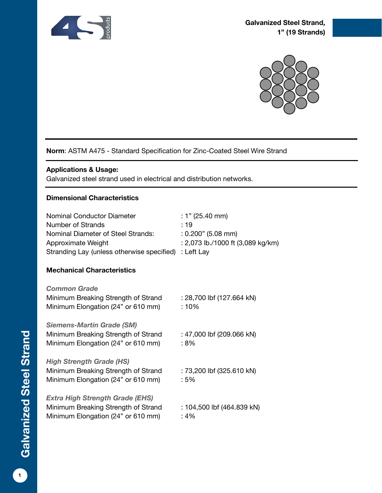



# **Norm**: ASTM A475 - Standard Specification for Zinc-Coated Steel Wire Strand

### **Applications & Usage:**

Galvanized steel strand used in electrical and distribution networks.

### **Dimensional Characteristics**

| Nominal Conductor Diameter<br><b>Number of Strands</b><br>Nominal Diameter of Steel Strands:<br>Approximate Weight<br>Stranding Lay (unless otherwise specified) | : 1" $(25.40 \text{ mm})$<br>: 19<br>$: 0.200"$ (5.08 mm)<br>: 2,073 lb./1000 ft (3,089 kg/km)<br>: Left Lay |
|------------------------------------------------------------------------------------------------------------------------------------------------------------------|--------------------------------------------------------------------------------------------------------------|
| <b>Mechanical Characteristics</b>                                                                                                                                |                                                                                                              |
| <b>Common Grade</b><br>Minimum Breaking Strength of Strand<br>Minimum Elongation (24" or 610 mm)                                                                 | : 28,700 lbf (127.664 kN)<br>: 10%                                                                           |
| <b>Siemens-Martin Grade (SM)</b><br>Minimum Breaking Strength of Strand<br>Minimum Elongation (24" or 610 mm)                                                    | : 47,000 lbf (209.066 kN)<br>: 8%                                                                            |
| <b>High Strength Grade (HS)</b><br>Minimum Breaking Strength of Strand<br>Minimum Elongation (24" or 610 mm)                                                     | : 73,200 lbf (325.610 kN)<br>:5%                                                                             |
| <b>Extra High Strength Grade (EHS)</b><br>Minimum Breaking Strength of Strand<br>Minimum Elongation (24" or 610 mm)                                              | : 104,500 lbf (464.839 kN)<br>: 4%                                                                           |